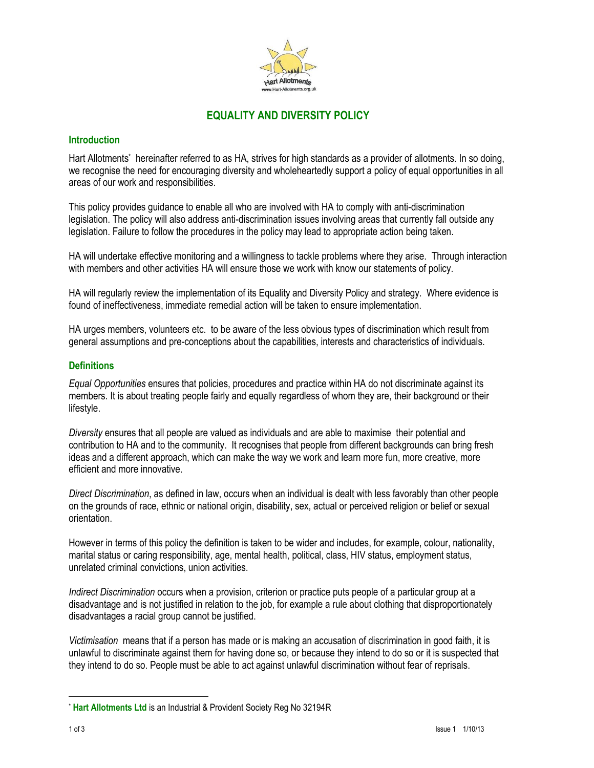

# **EQUALITY AND DIVERSITY POLICY**

### **Introduction**

Hart Allotments' hereinafter referred to as HA, strives for high standards as a provider of allotments. In so doing, we recognise the need for encouraging diversity and wholeheartedly support a policy of equal opportunities in all areas of our work and responsibilities.

This policy provides guidance to enable all who are involved with HA to comply with anti-discrimination legislation. The policy will also address anti-discrimination issues involving areas that currently fall outside any legislation. Failure to follow the procedures in the policy may lead to appropriate action being taken.

HA will undertake effective monitoring and a willingness to tackle problems where they arise. Through interaction with members and other activities HA will ensure those we work with know our statements of policy.

HA will regularly review the implementation of its Equality and Diversity Policy and strategy. Where evidence is found of ineffectiveness, immediate remedial action will be taken to ensure implementation.

HA urges members, volunteers etc. to be aware of the less obvious types of discrimination which result from general assumptions and pre-conceptions about the capabilities, interests and characteristics of individuals.

#### **Definitions**

*Equal Opportunities* ensures that policies, procedures and practice within HA do not discriminate against its members. It is about treating people fairly and equally regardless of whom they are, their background or their lifestyle.

*Diversity* ensures that all people are valued as individuals and are able to maximise their potential and contribution to HA and to the community. It recognises that people from different backgrounds can bring fresh ideas and a different approach, which can make the way we work and learn more fun, more creative, more efficient and more innovative.

*Direct Discrimination*, as defined in law, occurs when an individual is dealt with less favorably than other people on the grounds of race, ethnic or national origin, disability, sex, actual or perceived religion or belief or sexual orientation.

However in terms of this policy the definition is taken to be wider and includes, for example, colour, nationality, marital status or caring responsibility, age, mental health, political, class, HIV status, employment status, unrelated criminal convictions, union activities.

*Indirect Discrimination* occurs when a provision, criterion or practice puts people of a particular group at a disadvantage and is not justified in relation to the job, for example a rule about clothing that disproportionately disadvantages a racial group cannot be justified.

*Victimisation* means that if a person has made or is making an accusation of discrimination in good faith, it is unlawful to discriminate against them for having done so, or because they intend to do so or it is suspected that they intend to do so. People must be able to act against unlawful discrimination without fear of reprisals.

l

<sup>\*</sup> **Hart Allotments Ltd** is an Industrial & Provident Society Reg No 32194R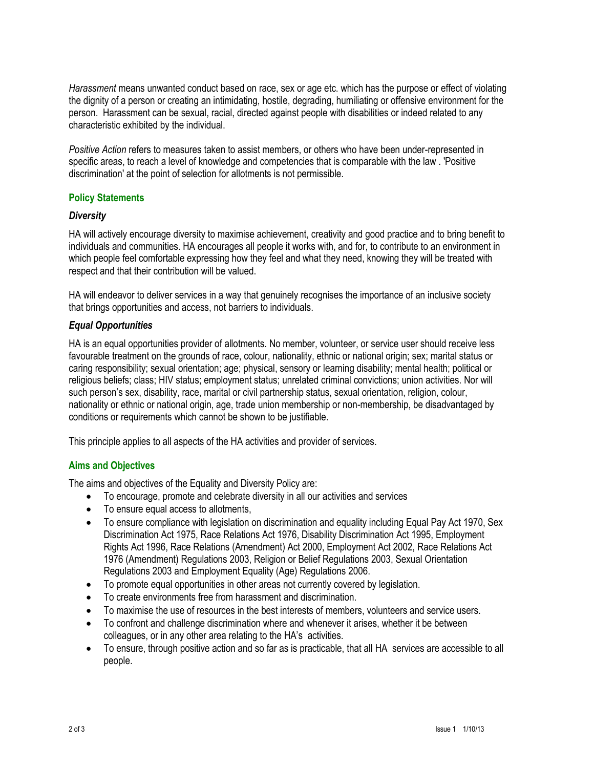*Harassment* means unwanted conduct based on race, sex or age etc. which has the purpose or effect of violating the dignity of a person or creating an intimidating, hostile, degrading, humiliating or offensive environment for the person. Harassment can be sexual, racial, directed against people with disabilities or indeed related to any characteristic exhibited by the individual.

*Positive Action* refers to measures taken to assist members, or others who have been under-represented in specific areas, to reach a level of knowledge and competencies that is comparable with the law . 'Positive discrimination' at the point of selection for allotments is not permissible.

## **Policy Statements**

### *Diversity*

HA will actively encourage diversity to maximise achievement, creativity and good practice and to bring benefit to individuals and communities. HA encourages all people it works with, and for, to contribute to an environment in which people feel comfortable expressing how they feel and what they need, knowing they will be treated with respect and that their contribution will be valued.

HA will endeavor to deliver services in a way that genuinely recognises the importance of an inclusive society that brings opportunities and access, not barriers to individuals.

### *Equal Opportunities*

HA is an equal opportunities provider of allotments. No member, volunteer, or service user should receive less favourable treatment on the grounds of race, colour, nationality, ethnic or national origin; sex; marital status or caring responsibility; sexual orientation; age; physical, sensory or learning disability; mental health; political or religious beliefs; class; HIV status; employment status; unrelated criminal convictions; union activities. Nor will such person's sex, disability, race, marital or civil partnership status, sexual orientation, religion, colour, nationality or ethnic or national origin, age, trade union membership or non-membership, be disadvantaged by conditions or requirements which cannot be shown to be justifiable.

This principle applies to all aspects of the HA activities and provider of services.

## **Aims and Objectives**

The aims and objectives of the Equality and Diversity Policy are:

- To encourage, promote and celebrate diversity in all our activities and services
- To ensure equal access to allotments,
- To ensure compliance with legislation on discrimination and equality including Equal Pay Act 1970, Sex Discrimination Act 1975, Race Relations Act 1976, Disability Discrimination Act 1995, Employment Rights Act 1996, Race Relations (Amendment) Act 2000, Employment Act 2002, Race Relations Act 1976 (Amendment) Regulations 2003, Religion or Belief Regulations 2003, Sexual Orientation Regulations 2003 and Employment Equality (Age) Regulations 2006.
- To promote equal opportunities in other areas not currently covered by legislation.
- To create environments free from harassment and discrimination.
- To maximise the use of resources in the best interests of members, volunteers and service users.
- To confront and challenge discrimination where and whenever it arises, whether it be between colleagues, or in any other area relating to the HA's activities.
- To ensure, through positive action and so far as is practicable, that all HA services are accessible to all people.